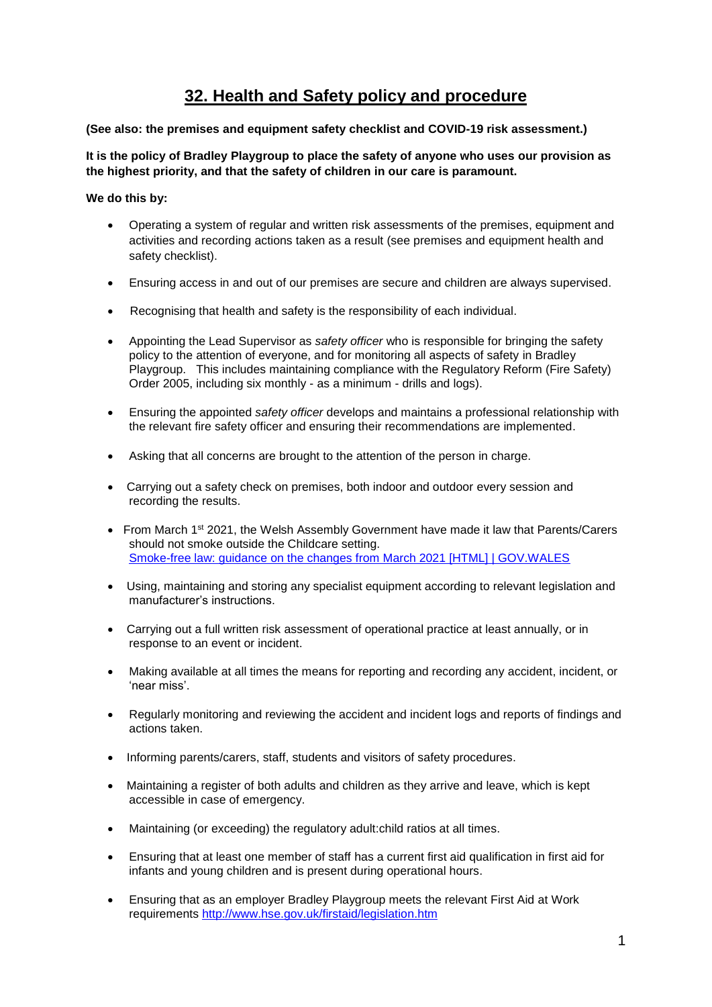## **32. Health and Safety policy and procedure**

**(See also: the premises and equipment safety checklist and COVID-19 risk assessment.)**

**It is the policy of Bradley Playgroup to place the safety of anyone who uses our provision as the highest priority, and that the safety of children in our care is paramount.** 

**We do this by:**

- Operating a system of regular and written risk assessments of the premises, equipment and activities and recording actions taken as a result (see premises and equipment health and safety checklist).
- Ensuring access in and out of our premises are secure and children are always supervised.
- Recognising that health and safety is the responsibility of each individual.
- Appointing the Lead Supervisor as *safety officer* who is responsible for bringing the safety policy to the attention of everyone, and for monitoring all aspects of safety in Bradley Playgroup. This includes maintaining compliance with the Regulatory Reform (Fire Safety) Order 2005, including six monthly - as a minimum - drills and logs).
- Ensuring the appointed *safety officer* develops and maintains a professional relationship with the relevant fire safety officer and ensuring their recommendations are implemented.
- Asking that all concerns are brought to the attention of the person in charge.
- Carrying out a safety check on premises, both indoor and outdoor every session and recording the results.
- From March 1st 2021, the Welsh Assembly Government have made it law that Parents/Carers should not smoke outside the Childcare setting. [Smoke-free law: guidance on the changes from March 2021 \[HTML\] | GOV.WALES](https://gov.wales/smoke-free-law-guidance-changes-march-2021-html)
- Using, maintaining and storing any specialist equipment according to relevant legislation and manufacturer's instructions.
- Carrying out a full written risk assessment of operational practice at least annually, or in response to an event or incident.
- Making available at all times the means for reporting and recording any accident, incident, or 'near miss'.
- Regularly monitoring and reviewing the accident and incident logs and reports of findings and actions taken.
- Informing parents/carers, staff, students and visitors of safety procedures.
- Maintaining a register of both adults and children as they arrive and leave, which is kept accessible in case of emergency.
- Maintaining (or exceeding) the regulatory adult:child ratios at all times.
- Ensuring that at least one member of staff has a current first aid qualification in first aid for infants and young children and is present during operational hours.
- Ensuring that as an employer Bradley Playgroup meets the relevant First Aid at Work requirements<http://www.hse.gov.uk/firstaid/legislation.htm>